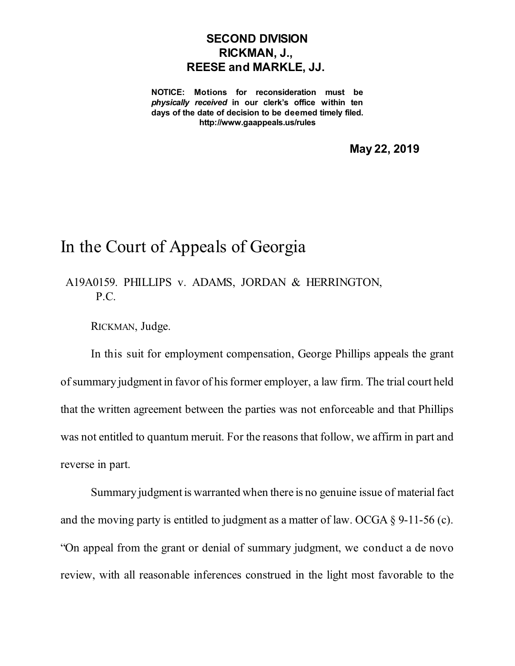## **SECOND DIVISION RICKMAN, J., REESE and MARKLE, JJ.**

**NOTICE: Motions for reconsideration must be** *physically received* **in our clerk's office within ten days of the date of decision to be deemed timely filed. http://www.gaappeals.us/rules**

**May 22, 2019**

## In the Court of Appeals of Georgia

## A19A0159. PHILLIPS v. ADAMS, JORDAN & HERRINGTON, P.C.

RICKMAN, Judge.

In this suit for employment compensation, George Phillips appeals the grant ofsummary judgment in favor of his former employer, a law firm. The trial court held that the written agreement between the parties was not enforceable and that Phillips was not entitled to quantum meruit. For the reasons that follow, we affirm in part and reverse in part.

Summary judgment is warranted when there is no genuine issue of material fact and the moving party is entitled to judgment as a matter of law. OCGA  $\S$  9-11-56 (c). "On appeal from the grant or denial of summary judgment, we conduct a de novo review, with all reasonable inferences construed in the light most favorable to the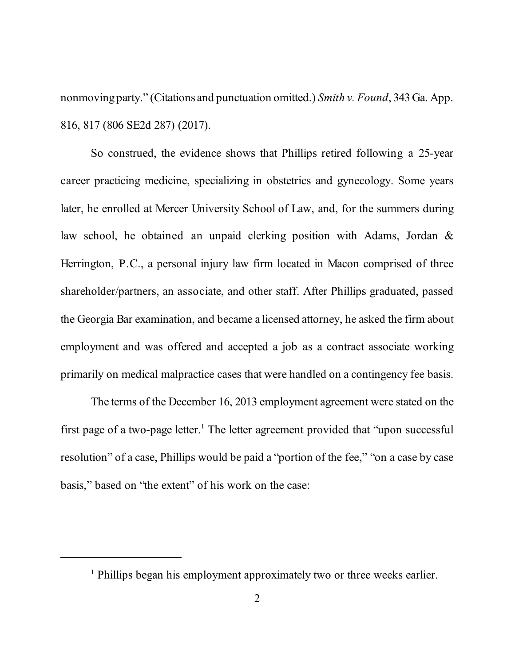nonmoving party." (Citations and punctuation omitted.) *Smith v. Found*, 343Ga. App. 816, 817 (806 SE2d 287) (2017).

So construed, the evidence shows that Phillips retired following a 25-year career practicing medicine, specializing in obstetrics and gynecology. Some years later, he enrolled at Mercer University School of Law, and, for the summers during law school, he obtained an unpaid clerking position with Adams, Jordan & Herrington, P.C., a personal injury law firm located in Macon comprised of three shareholder/partners, an associate, and other staff. After Phillips graduated, passed the Georgia Bar examination, and became a licensed attorney, he asked the firm about employment and was offered and accepted a job as a contract associate working primarily on medical malpractice cases that were handled on a contingency fee basis.

The terms of the December 16, 2013 employment agreement were stated on the first page of a two-page letter. <sup>1</sup> The letter agreement provided that "upon successful resolution" of a case, Phillips would be paid a "portion of the fee," "on a case by case basis," based on "the extent" of his work on the case:

<sup>&</sup>lt;sup>1</sup> Phillips began his employment approximately two or three weeks earlier.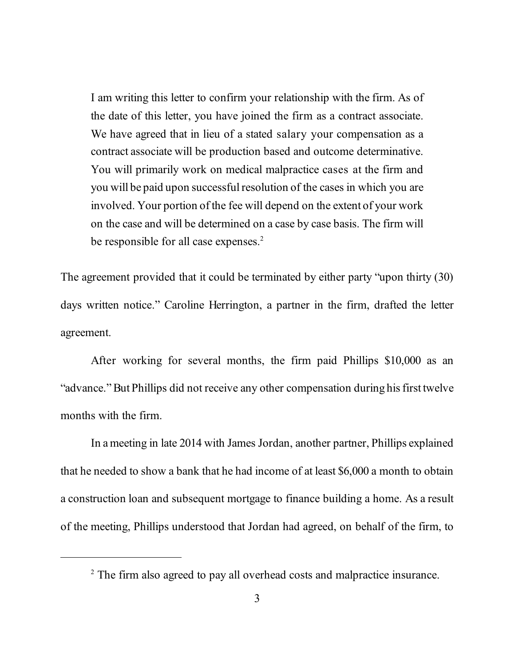I am writing this letter to confirm your relationship with the firm. As of the date of this letter, you have joined the firm as a contract associate. We have agreed that in lieu of a stated salary your compensation as a contract associate will be production based and outcome determinative. You will primarily work on medical malpractice cases at the firm and you will be paid upon successful resolution of the cases in which you are involved. Your portion of the fee will depend on the extent of your work on the case and will be determined on a case by case basis. The firm will be responsible for all case expenses.<sup>2</sup>

The agreement provided that it could be terminated by either party "upon thirty (30) days written notice." Caroline Herrington, a partner in the firm, drafted the letter agreement.

After working for several months, the firm paid Phillips \$10,000 as an "advance."But Phillips did not receive any other compensation during his first twelve months with the firm.

In ameeting in late 2014 with James Jordan, another partner, Phillips explained that he needed to show a bank that he had income of at least \$6,000 a month to obtain a construction loan and subsequent mortgage to finance building a home. As a result of the meeting, Phillips understood that Jordan had agreed, on behalf of the firm, to

<sup>&</sup>lt;sup>2</sup> The firm also agreed to pay all overhead costs and malpractice insurance.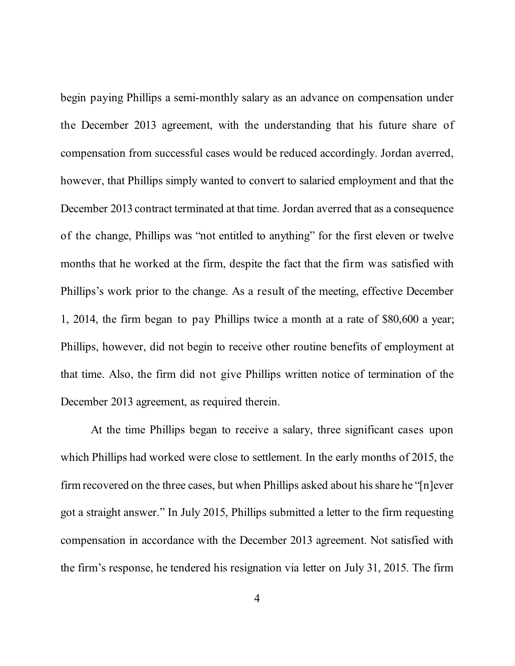begin paying Phillips a semi-monthly salary as an advance on compensation under the December 2013 agreement, with the understanding that his future share of compensation from successful cases would be reduced accordingly. Jordan averred, however, that Phillips simply wanted to convert to salaried employment and that the December 2013 contract terminated at that time. Jordan averred that as a consequence of the change, Phillips was "not entitled to anything" for the first eleven or twelve months that he worked at the firm, despite the fact that the firm was satisfied with Phillips's work prior to the change. As a result of the meeting, effective December 1, 2014, the firm began to pay Phillips twice a month at a rate of \$80,600 a year; Phillips, however, did not begin to receive other routine benefits of employment at that time. Also, the firm did not give Phillips written notice of termination of the December 2013 agreement, as required therein.

At the time Phillips began to receive a salary, three significant cases upon which Phillips had worked were close to settlement. In the early months of 2015, the firm recovered on the three cases, but when Phillips asked about his share he "[n]ever got a straight answer." In July 2015, Phillips submitted a letter to the firm requesting compensation in accordance with the December 2013 agreement. Not satisfied with the firm's response, he tendered his resignation via letter on July 31, 2015. The firm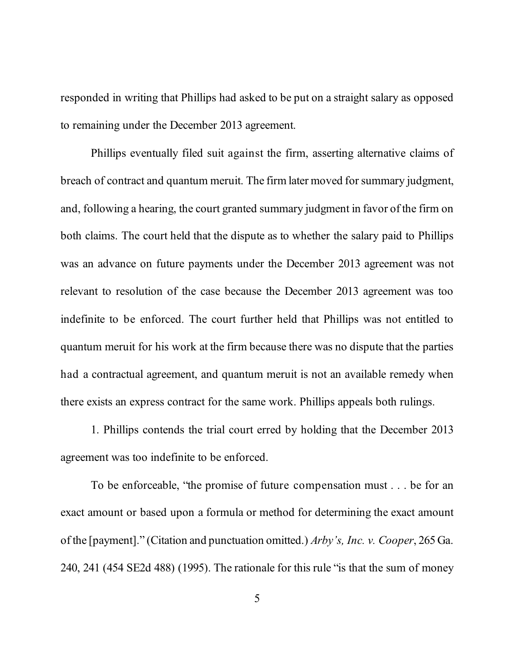responded in writing that Phillips had asked to be put on a straight salary as opposed to remaining under the December 2013 agreement.

Phillips eventually filed suit against the firm, asserting alternative claims of breach of contract and quantum meruit. The firm later moved forsummary judgment, and, following a hearing, the court granted summary judgment in favor of the firm on both claims. The court held that the dispute as to whether the salary paid to Phillips was an advance on future payments under the December 2013 agreement was not relevant to resolution of the case because the December 2013 agreement was too indefinite to be enforced. The court further held that Phillips was not entitled to quantum meruit for his work at the firm because there was no dispute that the parties had a contractual agreement, and quantum meruit is not an available remedy when there exists an express contract for the same work. Phillips appeals both rulings.

1. Phillips contends the trial court erred by holding that the December 2013 agreement was too indefinite to be enforced.

To be enforceable, "the promise of future compensation must . . . be for an exact amount or based upon a formula or method for determining the exact amount of the [payment]." (Citation and punctuation omitted.) *Arby's, Inc. v. Cooper*, 265Ga. 240, 241 (454 SE2d 488) (1995). The rationale for this rule "is that the sum of money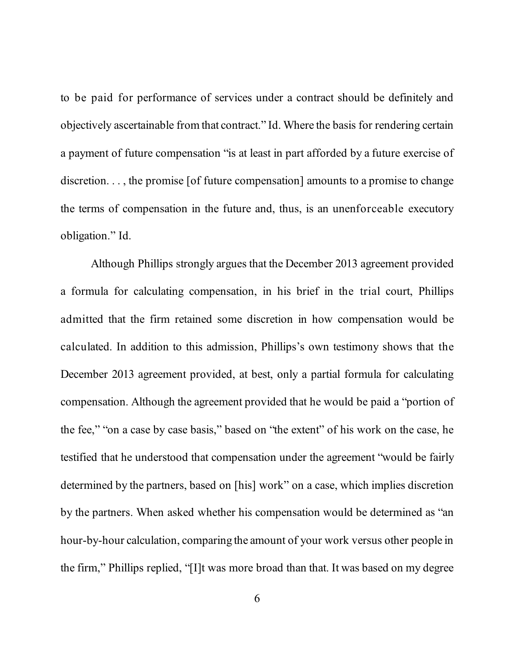to be paid for performance of services under a contract should be definitely and objectively ascertainable from that contract." Id. Where the basis for rendering certain a payment of future compensation "is at least in part afforded by a future exercise of discretion. . . , the promise [of future compensation] amounts to a promise to change the terms of compensation in the future and, thus, is an unenforceable executory obligation." Id.

Although Phillips strongly argues that the December 2013 agreement provided a formula for calculating compensation, in his brief in the trial court, Phillips admitted that the firm retained some discretion in how compensation would be calculated. In addition to this admission, Phillips's own testimony shows that the December 2013 agreement provided, at best, only a partial formula for calculating compensation. Although the agreement provided that he would be paid a "portion of the fee," "on a case by case basis," based on "the extent" of his work on the case, he testified that he understood that compensation under the agreement "would be fairly determined by the partners, based on [his] work" on a case, which implies discretion by the partners. When asked whether his compensation would be determined as "an hour-by-hour calculation, comparing the amount of your work versus other people in the firm," Phillips replied, "[I]t was more broad than that. It was based on my degree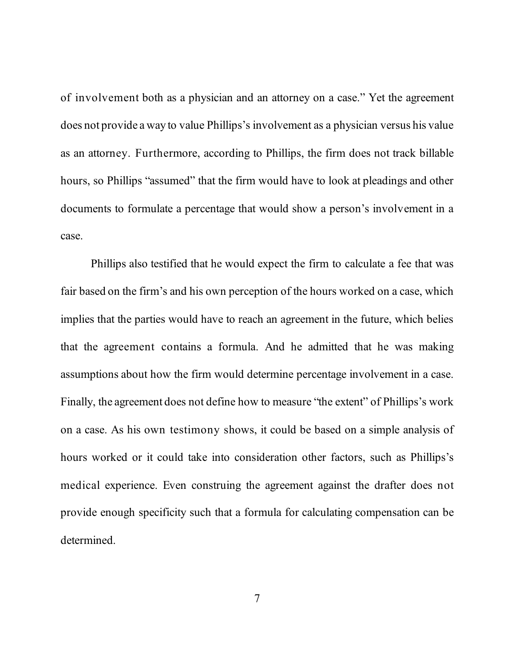of involvement both as a physician and an attorney on a case." Yet the agreement does not provide a way to value Phillips's involvement as a physician versus his value as an attorney. Furthermore, according to Phillips, the firm does not track billable hours, so Phillips "assumed" that the firm would have to look at pleadings and other documents to formulate a percentage that would show a person's involvement in a case.

Phillips also testified that he would expect the firm to calculate a fee that was fair based on the firm's and his own perception of the hours worked on a case, which implies that the parties would have to reach an agreement in the future, which belies that the agreement contains a formula. And he admitted that he was making assumptions about how the firm would determine percentage involvement in a case. Finally, the agreement does not define how to measure "the extent" of Phillips's work on a case. As his own testimony shows, it could be based on a simple analysis of hours worked or it could take into consideration other factors, such as Phillips's medical experience. Even construing the agreement against the drafter does not provide enough specificity such that a formula for calculating compensation can be determined.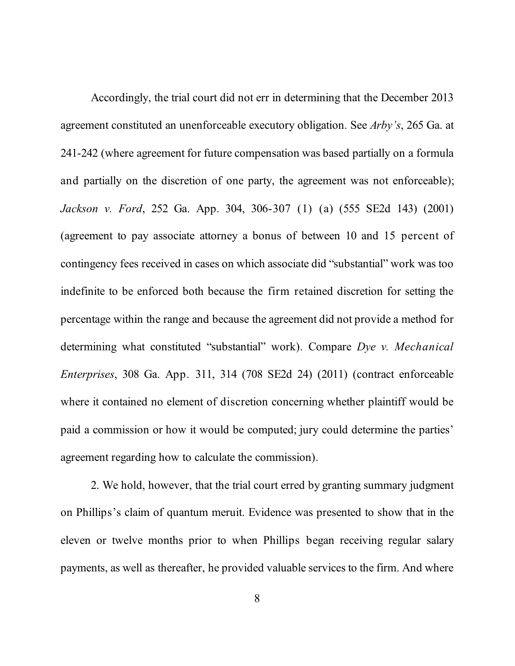Accordingly, the trial court did not err in determining that the December 2013 agreement constituted an unenforceable executory obligation. See *Arby's*, 265 Ga. at 241-242 (where agreement for future compensation was based partially on a formula and partially on the discretion of one party, the agreement was not enforceable); *Jackson v. Ford*, 252 Ga. App. 304, 306-307 (1) (a) (555 SE2d 143) (2001) (agreement to pay associate attorney a bonus of between 10 and 15 percent of contingency fees received in cases on which associate did "substantial" work was too indefinite to be enforced both because the firm retained discretion for setting the percentage within the range and because the agreement did not provide a method for determining what constituted "substantial" work). Compare *Dye v. Mechanical Enterprises*, 308 Ga. App. 311, 314 (708 SE2d 24) (2011) (contract enforceable where it contained no element of discretion concerning whether plaintiff would be paid a commission or how it would be computed; jury could determine the parties' agreement regarding how to calculate the commission).

2. We hold, however, that the trial court erred by granting summary judgment on Phillips's claim of quantum meruit. Evidence was presented to show that in the eleven or twelve months prior to when Phillips began receiving regular salary payments, as well as thereafter, he provided valuable services to the firm. And where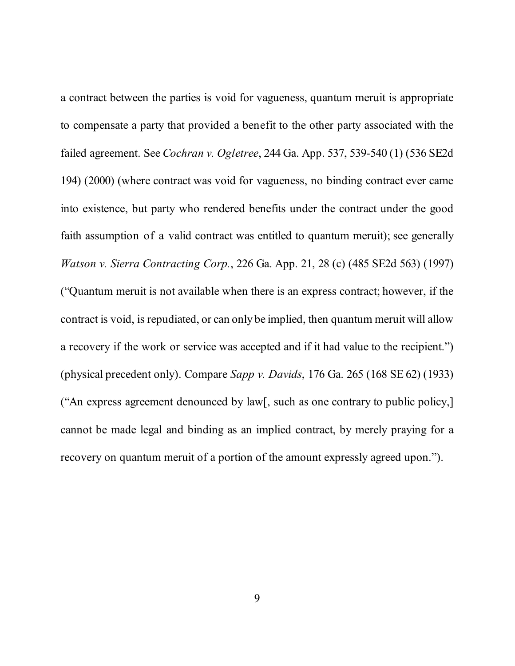a contract between the parties is void for vagueness, quantum meruit is appropriate to compensate a party that provided a benefit to the other party associated with the failed agreement. See *Cochran v. Ogletree*, 244 Ga. App. 537, 539-540 (1) (536 SE2d 194) (2000) (where contract was void for vagueness, no binding contract ever came into existence, but party who rendered benefits under the contract under the good faith assumption of a valid contract was entitled to quantum meruit); see generally *Watson v. Sierra Contracting Corp.*, 226 Ga. App. 21, 28 (c) (485 SE2d 563) (1997) ("Quantum meruit is not available when there is an express contract; however, if the contract is void, is repudiated, or can only be implied, then quantum meruit will allow a recovery if the work or service was accepted and if it had value to the recipient.") (physical precedent only). Compare *Sapp v. Davids*, 176 Ga. 265 (168 SE 62) (1933) ("An express agreement denounced by law[, such as one contrary to public policy,] cannot be made legal and binding as an implied contract, by merely praying for a recovery on quantum meruit of a portion of the amount expressly agreed upon.").